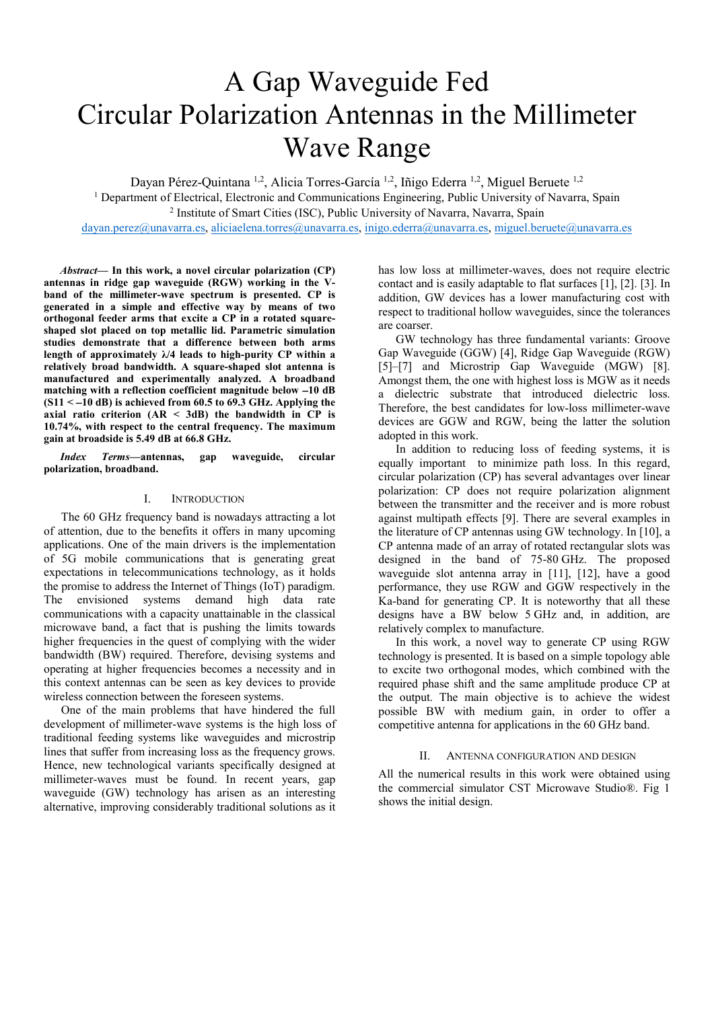# A Gap Waveguide Fed Circular Polarization Antennas in the Millimeter Wave Range

Dayan Pérez-Quintana <sup>1,2</sup>, Alicia Torres-García <sup>1,2</sup>, Iñigo Ederra <sup>1,2</sup>, Miguel Beruete <sup>1,2</sup>

<sup>1</sup> Department of Electrical, Electronic and Communications Engineering, Public University of Navarra, Spain <sup>2</sup> Institute of Smart Cities (ISC), Public University of Navarra, Navarra, Spain <sup>2</sup> Institute of Smart Cities (ISC), Public University of Navarra, Navarra, Spain

dayan.perez@unavarra.es, aliciaelena.torres@unavarra.es, inigo.ederra@unavarra.es, miguel.beruete@unavarra.es

*Abstract***— In this work, a novel circular polarization (CP) antennas in ridge gap waveguide (RGW) working in the Vband of the millimeter-wave spectrum is presented. CP is generated in a simple and effective way by means of two orthogonal feeder arms that excite a CP in a rotated squareshaped slot placed on top metallic lid. Parametric simulation studies demonstrate that a difference between both arms length of approximately λ/4 leads to high-purity CP within a relatively broad bandwidth. A square-shaped slot antenna is manufactured and experimentally analyzed. A broadband matching with a reflection coefficient magnitude below** −**10 dB (S11 <** −**10 dB) is achieved from 60.5 to 69.3 GHz. Applying the axial ratio criterion (AR < 3dB) the bandwidth in CP is 10.74%, with respect to the central frequency. The maximum gain at broadside is 5.49 dB at 66.8 GHz.** 

*Index Terms—***antennas, gap waveguide, circular polarization, broadband.**

# I. INTRODUCTION

The 60 GHz frequency band is nowadays attracting a lot of attention, due to the benefits it offers in many upcoming applications. One of the main drivers is the implementation of 5G mobile communications that is generating great expectations in telecommunications technology, as it holds the promise to address the Internet of Things (IoT) paradigm. The envisioned systems demand high data rate communications with a capacity unattainable in the classical microwave band, a fact that is pushing the limits towards higher frequencies in the quest of complying with the wider bandwidth (BW) required. Therefore, devising systems and operating at higher frequencies becomes a necessity and in this context antennas can be seen as key devices to provide wireless connection between the foreseen systems.

One of the main problems that have hindered the full development of millimeter-wave systems is the high loss of traditional feeding systems like waveguides and microstrip lines that suffer from increasing loss as the frequency grows. Hence, new technological variants specifically designed at millimeter-waves must be found. In recent years, gap waveguide (GW) technology has arisen as an interesting alternative, improving considerably traditional solutions as it has low loss at millimeter-waves, does not require electric contact and is easily adaptable to flat surfaces [1], [2]. [3]. In addition, GW devices has a lower manufacturing cost with respect to traditional hollow waveguides, since the tolerances are coarser.

GW technology has three fundamental variants: Groove Gap Waveguide (GGW) [4], Ridge Gap Waveguide (RGW) [5]–[7] and Microstrip Gap Waveguide (MGW) [8]. Amongst them, the one with highest loss is MGW as it needs a dielectric substrate that introduced dielectric loss. Therefore, the best candidates for low-loss millimeter-wave devices are GGW and RGW, being the latter the solution adopted in this work.

In addition to reducing loss of feeding systems, it is equally important to minimize path loss. In this regard, circular polarization (CP) has several advantages over linear polarization: CP does not require polarization alignment between the transmitter and the receiver and is more robust against multipath effects [9]. There are several examples in the literature of CP antennas using GW technology. In [10], a CP antenna made of an array of rotated rectangular slots was designed in the band of 75-80 GHz. The proposed waveguide slot antenna array in [11], [12], have a good performance, they use RGW and GGW respectively in the Ka-band for generating CP. It is noteworthy that all these designs have a BW below 5 GHz and, in addition, are relatively complex to manufacture.

In this work, a novel way to generate CP using RGW technology is presented. It is based on a simple topology able to excite two orthogonal modes, which combined with the required phase shift and the same amplitude produce CP at the output. The main objective is to achieve the widest possible BW with medium gain, in order to offer a competitive antenna for applications in the 60 GHz band.

## II. ANTENNA CONFIGURATION AND DESIGN

All the numerical results in this work were obtained using the commercial simulator CST Microwave Studio®. Fig 1 shows the initial design.

\GHUVRQDOXVHRIWKLVPDWHULDOLVSHUPLWWHG3HUPLVVLRQ**IE.WEHI.@PRWWEDHR**WKHUXVHVLQDQ\\ FXUUHQWRUIXWXUHPHGLDLQFOXGLQJUHSULQWLQJUHSXEOL**WKILWKQYIRYPNWHIRNSKSIRVIDG**FUH**IQWZ**QJ FROOHFWLRUNVIRUUHVDOHRUUHGLVWULEXWLRQWRVHUYHUVRSOLJKWYKUFRRSHQMRIDQWKLVZRUNKILQU ZRUN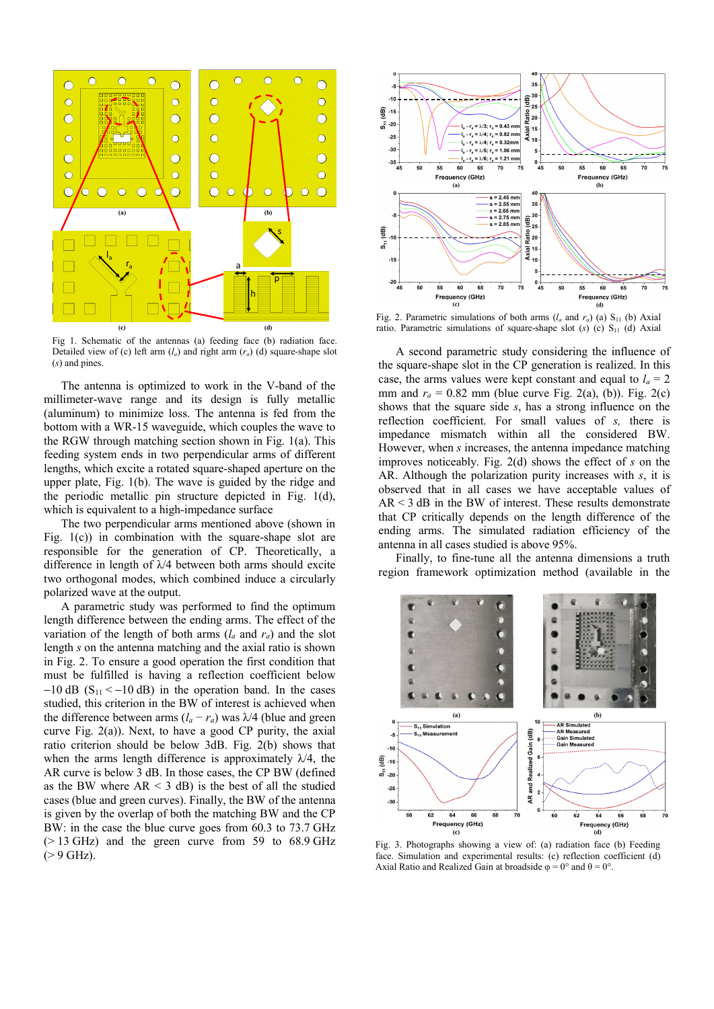

Fig 1. Schematic of the antennas (a) feeding face (b) radiation face. Detailed view of (c) left arm  $(l_a)$  and right arm  $(r_a)$  (d) square-shape slot (*s*) and pines.

The antenna is optimized to work in the V-band of the millimeter-wave range and its design is fully metallic (aluminum) to minimize loss. The antenna is fed from the bottom with a WR-15 waveguide, which couples the wave to the RGW through matching section shown in Fig. 1(a). This feeding system ends in two perpendicular arms of different lengths, which excite a rotated square-shaped aperture on the upper plate, Fig. 1(b). The wave is guided by the ridge and the periodic metallic pin structure depicted in Fig. 1(d), which is equivalent to a high-impedance surface

The two perpendicular arms mentioned above (shown in Fig.  $1(c)$  in combination with the square-shape slot are responsible for the generation of CP. Theoretically, a difference in length of  $\lambda$ /4 between both arms should excite two orthogonal modes, which combined induce a circularly polarized wave at the output.

A parametric study was performed to find the optimum length difference between the ending arms. The effect of the variation of the length of both arms  $(l_a \text{ and } r_a)$  and the slot length *s* on the antenna matching and the axial ratio is shown in Fig. 2. To ensure a good operation the first condition that must be fulfilled is having a reflection coefficient below  $-10$  dB (S<sub>11</sub> < -10 dB) in the operation band. In the cases studied, this criterion in the BW of interest is achieved when the difference between arms  $(l_a - r_a)$  was  $\lambda/4$  (blue and green curve Fig. 2(a)). Next, to have a good CP purity, the axial ratio criterion should be below 3dB. Fig. 2(b) shows that when the arms length difference is approximately  $\lambda/4$ , the AR curve is below 3 dB. In those cases, the CP BW (defined as the BW where  $AR < 3$  dB) is the best of all the studied cases (blue and green curves). Finally, the BW of the antenna is given by the overlap of both the matching BW and the CP BW: in the case the blue curve goes from 60.3 to 73.7 GHz  $(> 13$  GHz) and the green curve from 59 to 68.9 GHz  $(> 9$  GHz).



Fig. 2. Parametric simulations of both arms  $(l_a \text{ and } r_a)$  (a)  $S_{11}$  (b) Axial ratio. Parametric simulations of square-shape slot  $(s)$  (c)  $S<sub>11</sub>$  (d) Axial

A second parametric study considering the influence of the square-shape slot in the CP generation is realized. In this case, the arms values were kept constant and equal to  $l_a = 2$ mm and  $r_a = 0.82$  mm (blue curve Fig. 2(a), (b)). Fig. 2(c) shows that the square side *s*, has a strong influence on the reflection coefficient. For small values of *s,* there is impedance mismatch within all the considered BW. However, when *s* increases, the antenna impedance matching improves noticeably. Fig. 2(d) shows the effect of *s* on the AR. Although the polarization purity increases with *s*, it is observed that in all cases we have acceptable values of  $AR < 3$  dB in the BW of interest. These results demonstrate that CP critically depends on the length difference of the ending arms. The simulated radiation efficiency of the antenna in all cases studied is above 95%.

Finally, to fine-tune all the antenna dimensions a truth region framework optimization method (available in the



Fig. 3. Photographs showing a view of: (a) radiation face (b) Feeding face. Simulation and experimental results: (c) reflection coefficient (d) Axial Ratio and Realized Gain at broadside  $\varphi = 0^{\circ}$  and  $\theta = 0^{\circ}$ .